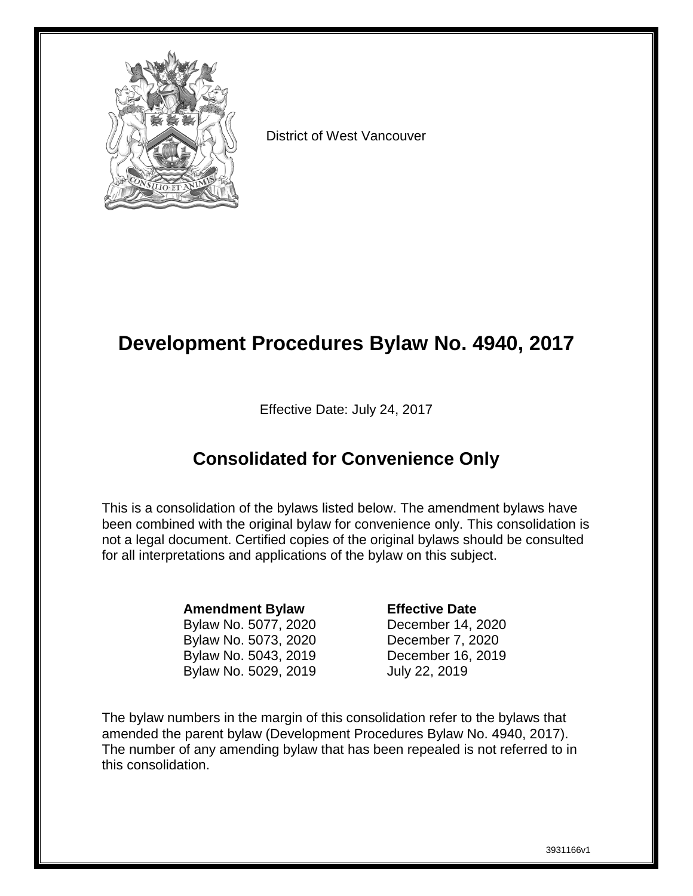

District of West Vancouver

# **Development Procedures Bylaw No. 4940, 2017**

Effective Date: July 24, 2017

# **Consolidated for Convenience Only**

This is a consolidation of the bylaws listed below. The amendment bylaws have been combined with the original bylaw for convenience only. This consolidation is not a legal document. Certified copies of the original bylaws should be consulted for all interpretations and applications of the bylaw on this subject.

### **Amendment Bylaw Effective Date**

Bylaw No. 5077, 2020 December 14, 2020 Bylaw No. 5073, 2020 December 7, 2020 Bylaw No. 5043, 2019 December 16, 2019 Bylaw No. 5029, 2019 July 22, 2019

The bylaw numbers in the margin of this consolidation refer to the bylaws that amended the parent bylaw (Development Procedures Bylaw No. 4940, 2017). The number of any amending bylaw that has been repealed is not referred to in this consolidation.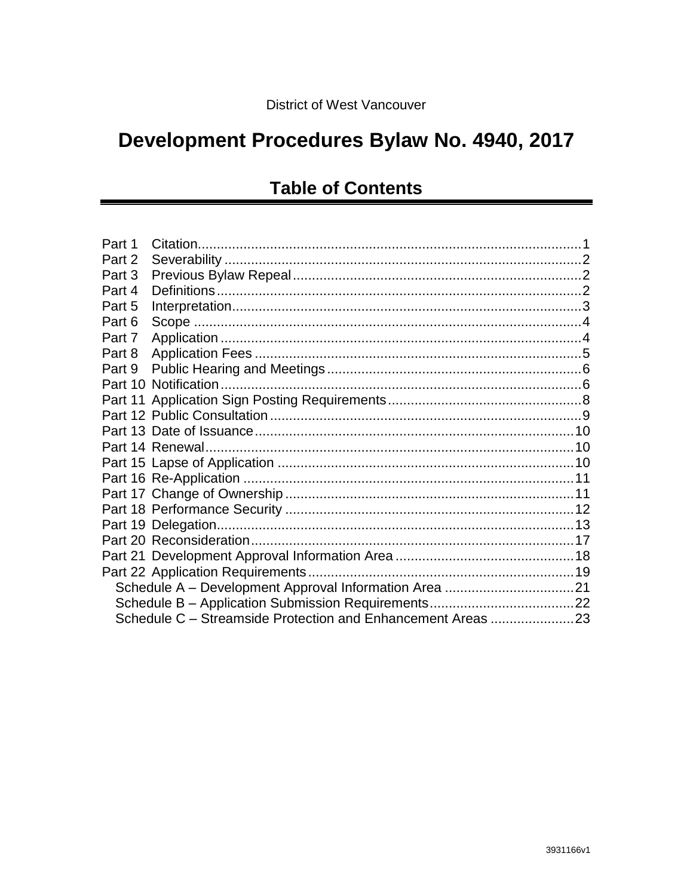# Development Procedures Bylaw No. 4940, 2017

# **Table of Contents**

| Part 1 |                                                             |  |  |  |
|--------|-------------------------------------------------------------|--|--|--|
| Part 2 |                                                             |  |  |  |
| Part 3 |                                                             |  |  |  |
| Part 4 |                                                             |  |  |  |
| Part 5 |                                                             |  |  |  |
| Part 6 |                                                             |  |  |  |
| Part 7 |                                                             |  |  |  |
| Part 8 |                                                             |  |  |  |
| Part 9 |                                                             |  |  |  |
|        |                                                             |  |  |  |
|        |                                                             |  |  |  |
|        |                                                             |  |  |  |
|        |                                                             |  |  |  |
|        |                                                             |  |  |  |
|        |                                                             |  |  |  |
|        |                                                             |  |  |  |
|        |                                                             |  |  |  |
|        |                                                             |  |  |  |
|        |                                                             |  |  |  |
|        |                                                             |  |  |  |
|        |                                                             |  |  |  |
|        |                                                             |  |  |  |
|        |                                                             |  |  |  |
|        |                                                             |  |  |  |
|        | Schedule C – Streamside Protection and Enhancement Areas 23 |  |  |  |
|        |                                                             |  |  |  |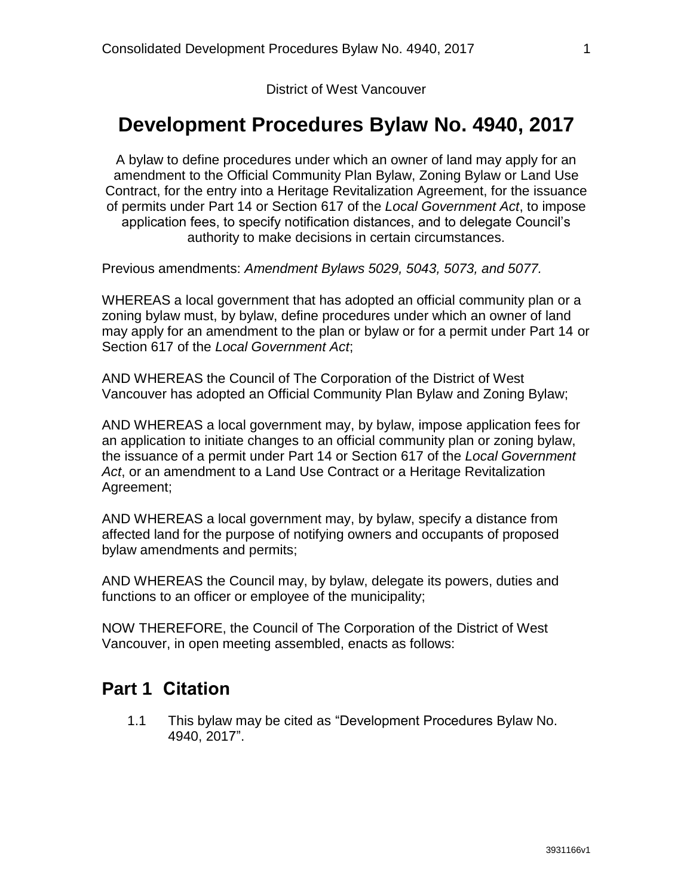District of West Vancouver

### **Development Procedures Bylaw No. 4940, 2017**

A bylaw to define procedures under which an owner of land may apply for an amendment to the Official Community Plan Bylaw, Zoning Bylaw or Land Use Contract, for the entry into a Heritage Revitalization Agreement, for the issuance of permits under Part 14 or Section 617 of the *Local Government Act*, to impose application fees, to specify notification distances, and to delegate Council's authority to make decisions in certain circumstances.

Previous amendments: *Amendment Bylaws 5029, 5043, 5073, and 5077.*

WHEREAS a local government that has adopted an official community plan or a zoning bylaw must, by bylaw, define procedures under which an owner of land may apply for an amendment to the plan or bylaw or for a permit under Part 14 or Section 617 of the *Local Government Act*;

AND WHEREAS the Council of The Corporation of the District of West Vancouver has adopted an Official Community Plan Bylaw and Zoning Bylaw;

AND WHEREAS a local government may, by bylaw, impose application fees for an application to initiate changes to an official community plan or zoning bylaw, the issuance of a permit under Part 14 or Section 617 of the *Local Government Act*, or an amendment to a Land Use Contract or a Heritage Revitalization Agreement;

AND WHEREAS a local government may, by bylaw, specify a distance from affected land for the purpose of notifying owners and occupants of proposed bylaw amendments and permits;

AND WHEREAS the Council may, by bylaw, delegate its powers, duties and functions to an officer or employee of the municipality;

<span id="page-2-0"></span>NOW THEREFORE, the Council of The Corporation of the District of West Vancouver, in open meeting assembled, enacts as follows:

### **Part 1 Citation**

1.1 This bylaw may be cited as "Development Procedures Bylaw No. 4940, 2017".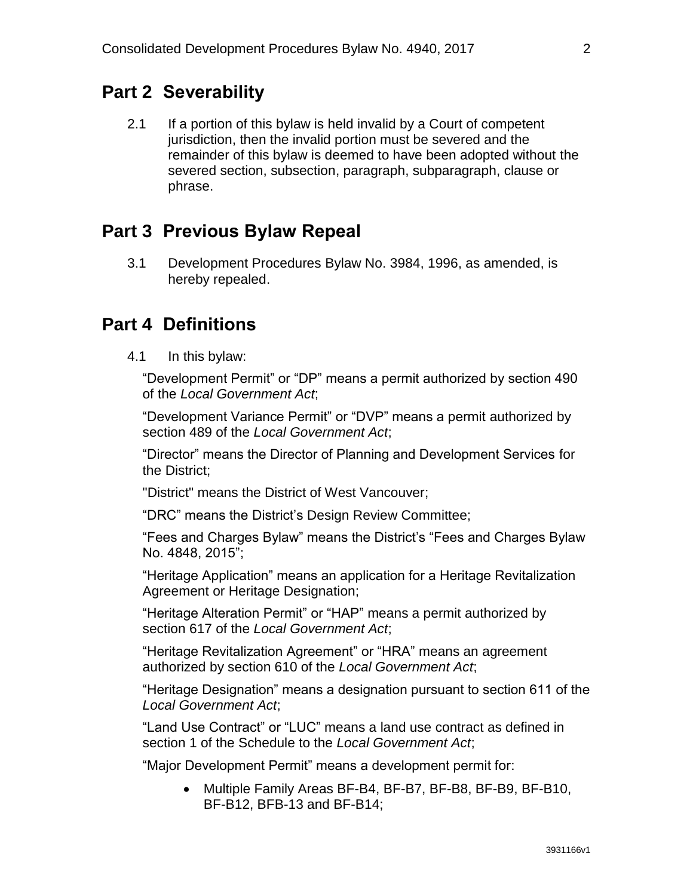### <span id="page-3-0"></span>**Part 2 Severability**

2.1 If a portion of this bylaw is held invalid by a Court of competent jurisdiction, then the invalid portion must be severed and the remainder of this bylaw is deemed to have been adopted without the severed section, subsection, paragraph, subparagraph, clause or phrase.

### <span id="page-3-1"></span>**Part 3 Previous Bylaw Repeal**

3.1 Development Procedures Bylaw No. 3984, 1996, as amended, is hereby repealed.

### <span id="page-3-2"></span>**Part 4 Definitions**

4.1 In this bylaw:

"Development Permit" or "DP" means a permit authorized by section 490 of the *Local Government Act*;

"Development Variance Permit" or "DVP" means a permit authorized by section 489 of the *Local Government Act*;

"Director" means the Director of Planning and Development Services for the District;

"District" means the District of West Vancouver;

"DRC" means the District's Design Review Committee;

"Fees and Charges Bylaw" means the District's "Fees and Charges Bylaw No. 4848, 2015";

"Heritage Application" means an application for a Heritage Revitalization Agreement or Heritage Designation;

"Heritage Alteration Permit" or "HAP" means a permit authorized by section 617 of the *Local Government Act*;

"Heritage Revitalization Agreement" or "HRA" means an agreement authorized by section 610 of the *Local Government Act*;

"Heritage Designation" means a designation pursuant to section 611 of the *Local Government Act*;

"Land Use Contract" or "LUC" means a land use contract as defined in section 1 of the Schedule to the *Local Government Act*;

"Major Development Permit" means a development permit for:

 Multiple Family Areas BF-B4, BF-B7, BF-B8, BF-B9, BF-B10, BF-B12, BFB-13 and BF-B14;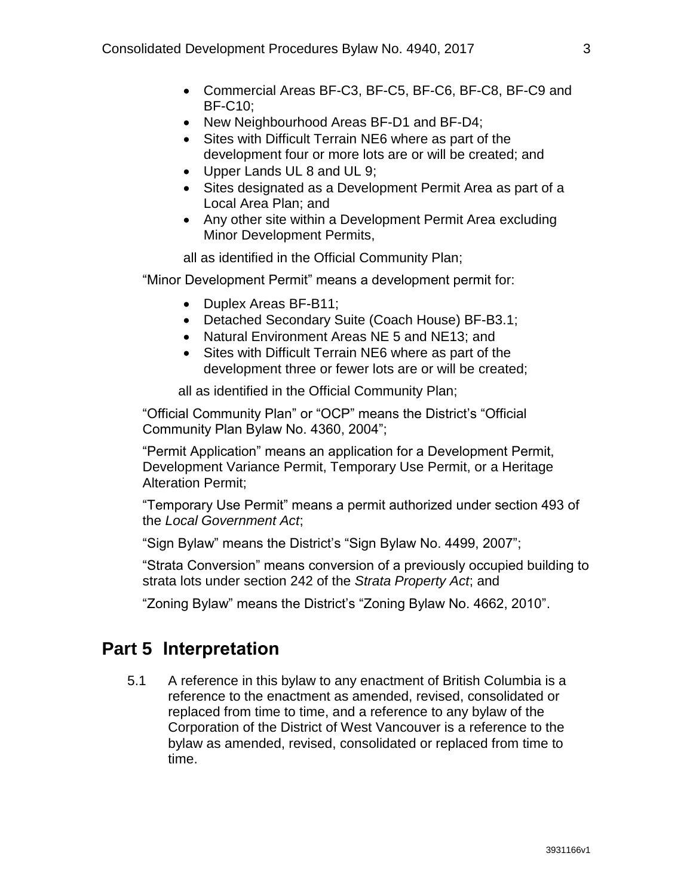- Commercial Areas BF-C3, BF-C5, BF-C6, BF-C8, BF-C9 and BF-C10;
- New Neighbourhood Areas BF-D1 and BF-D4;
- Sites with Difficult Terrain NE6 where as part of the development four or more lots are or will be created; and
- Upper Lands UL 8 and UL 9;
- Sites designated as a Development Permit Area as part of a Local Area Plan; and
- Any other site within a Development Permit Area excluding Minor Development Permits,

all as identified in the Official Community Plan;

"Minor Development Permit" means a development permit for:

- Duplex Areas BF-B11;
- Detached Secondary Suite (Coach House) BF-B3.1;
- Natural Environment Areas NE 5 and NE13; and
- Sites with Difficult Terrain NE6 where as part of the development three or fewer lots are or will be created;

all as identified in the Official Community Plan;

"Official Community Plan" or "OCP" means the District's "Official Community Plan Bylaw No. 4360, 2004";

"Permit Application" means an application for a Development Permit, Development Variance Permit, Temporary Use Permit, or a Heritage Alteration Permit;

"Temporary Use Permit" means a permit authorized under section 493 of the *Local Government Act*;

"Sign Bylaw" means the District's "Sign Bylaw No. 4499, 2007";

"Strata Conversion" means conversion of a previously occupied building to strata lots under section 242 of the *Strata Property Act*; and

"Zoning Bylaw" means the District's "Zoning Bylaw No. 4662, 2010".

### <span id="page-4-0"></span>**Part 5 Interpretation**

<span id="page-4-1"></span>5.1 A reference in this bylaw to any enactment of British Columbia is a reference to the enactment as amended, revised, consolidated or replaced from time to time, and a reference to any bylaw of the Corporation of the District of West Vancouver is a reference to the bylaw as amended, revised, consolidated or replaced from time to time.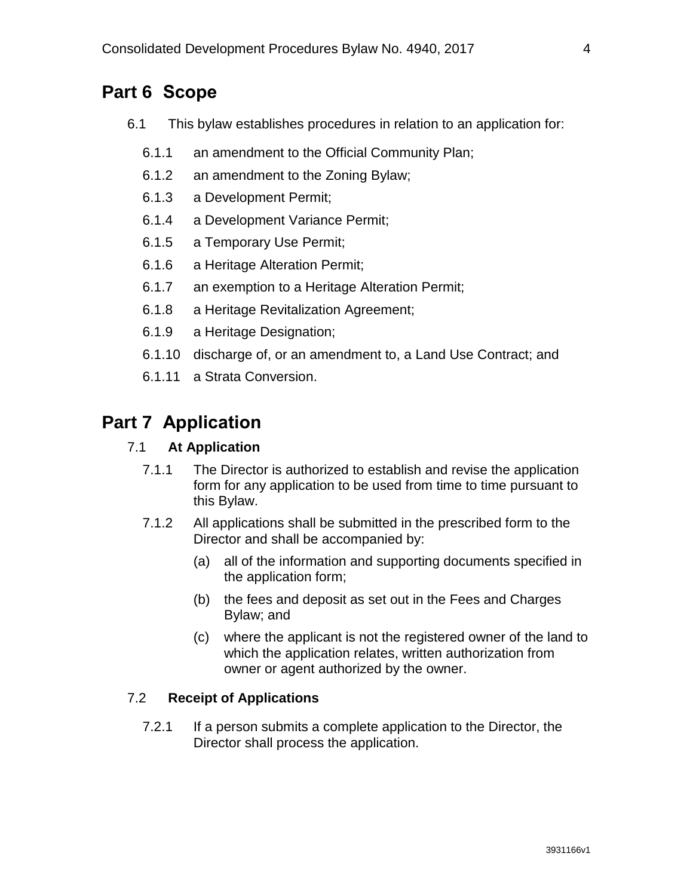# **Part 6 Scope**

- 6.1 This bylaw establishes procedures in relation to an application for:
	- 6.1.1 an amendment to the Official Community Plan;
	- 6.1.2 an amendment to the Zoning Bylaw;
	- 6.1.3 a Development Permit;
	- 6.1.4 a Development Variance Permit;
	- 6.1.5 a Temporary Use Permit;
	- 6.1.6 a Heritage Alteration Permit;
	- 6.1.7 an exemption to a Heritage Alteration Permit;
	- 6.1.8 a Heritage Revitalization Agreement;
	- 6.1.9 a Heritage Designation;
	- 6.1.10 discharge of, or an amendment to, a Land Use Contract; and
	- 6.1.11 a Strata Conversion.

### <span id="page-5-0"></span>**Part 7 Application**

#### 7.1 **At Application**

- 7.1.1 The Director is authorized to establish and revise the application form for any application to be used from time to time pursuant to this Bylaw.
- 7.1.2 All applications shall be submitted in the prescribed form to the Director and shall be accompanied by:
	- (a) all of the information and supporting documents specified in the application form;
	- (b) the fees and deposit as set out in the Fees and Charges Bylaw; and
	- (c) where the applicant is not the registered owner of the land to which the application relates, written authorization from owner or agent authorized by the owner.

#### 7.2 **Receipt of Applications**

7.2.1 If a person submits a complete application to the Director, the Director shall process the application.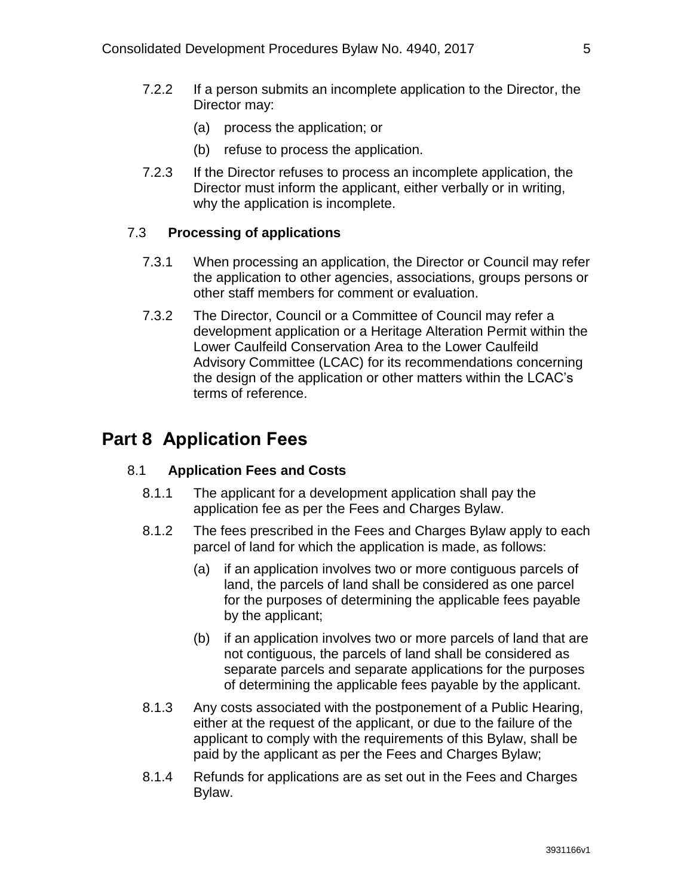- 7.2.2 If a person submits an incomplete application to the Director, the Director may:
	- (a) process the application; or
	- (b) refuse to process the application.
- 7.2.3 If the Director refuses to process an incomplete application, the Director must inform the applicant, either verbally or in writing, why the application is incomplete.

#### 7.3 **Processing of applications**

- 7.3.1 When processing an application, the Director or Council may refer the application to other agencies, associations, groups persons or other staff members for comment or evaluation.
- 7.3.2 The Director, Council or a Committee of Council may refer a development application or a Heritage Alteration Permit within the Lower Caulfeild Conservation Area to the Lower Caulfeild Advisory Committee (LCAC) for its recommendations concerning the design of the application or other matters within the LCAC's terms of reference.

### <span id="page-6-0"></span>**Part 8 Application Fees**

#### 8.1 **Application Fees and Costs**

- 8.1.1 The applicant for a development application shall pay the application fee as per the Fees and Charges Bylaw.
- 8.1.2 The fees prescribed in the Fees and Charges Bylaw apply to each parcel of land for which the application is made, as follows:
	- (a) if an application involves two or more contiguous parcels of land, the parcels of land shall be considered as one parcel for the purposes of determining the applicable fees payable by the applicant;
	- (b) if an application involves two or more parcels of land that are not contiguous, the parcels of land shall be considered as separate parcels and separate applications for the purposes of determining the applicable fees payable by the applicant.
- 8.1.3 Any costs associated with the postponement of a Public Hearing, either at the request of the applicant, or due to the failure of the applicant to comply with the requirements of this Bylaw, shall be paid by the applicant as per the Fees and Charges Bylaw;
- 8.1.4 Refunds for applications are as set out in the Fees and Charges Bylaw.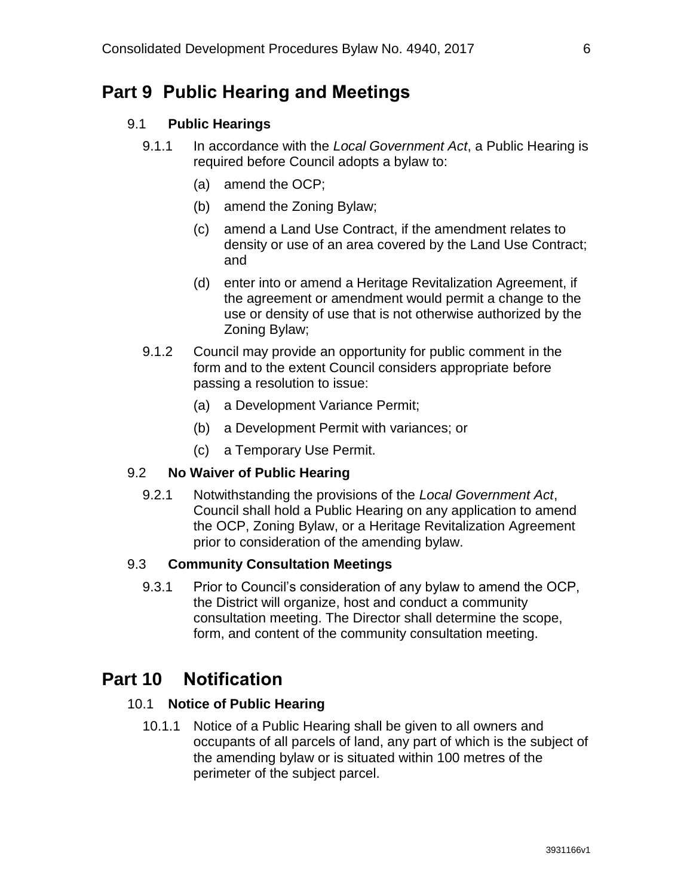### <span id="page-7-0"></span>**Part 9 Public Hearing and Meetings**

#### 9.1 **Public Hearings**

- 9.1.1 In accordance with the *Local Government Act*, a Public Hearing is required before Council adopts a bylaw to:
	- (a) amend the OCP;
	- (b) amend the Zoning Bylaw;
	- (c) amend a Land Use Contract, if the amendment relates to density or use of an area covered by the Land Use Contract; and
	- (d) enter into or amend a Heritage Revitalization Agreement, if the agreement or amendment would permit a change to the use or density of use that is not otherwise authorized by the Zoning Bylaw;
- 9.1.2 Council may provide an opportunity for public comment in the form and to the extent Council considers appropriate before passing a resolution to issue:
	- (a) a Development Variance Permit;
	- (b) a Development Permit with variances; or
	- (c) a Temporary Use Permit.

#### 9.2 **No Waiver of Public Hearing**

9.2.1 Notwithstanding the provisions of the *Local Government Act*, Council shall hold a Public Hearing on any application to amend the OCP, Zoning Bylaw, or a Heritage Revitalization Agreement prior to consideration of the amending bylaw.

#### 9.3 **Community Consultation Meetings**

9.3.1 Prior to Council's consideration of any bylaw to amend the OCP, the District will organize, host and conduct a community consultation meeting. The Director shall determine the scope, form, and content of the community consultation meeting.

### <span id="page-7-1"></span>**Part 10 Notification**

#### 10.1 **Notice of Public Hearing**

10.1.1 Notice of a Public Hearing shall be given to all owners and occupants of all parcels of land, any part of which is the subject of the amending bylaw or is situated within 100 metres of the perimeter of the subject parcel.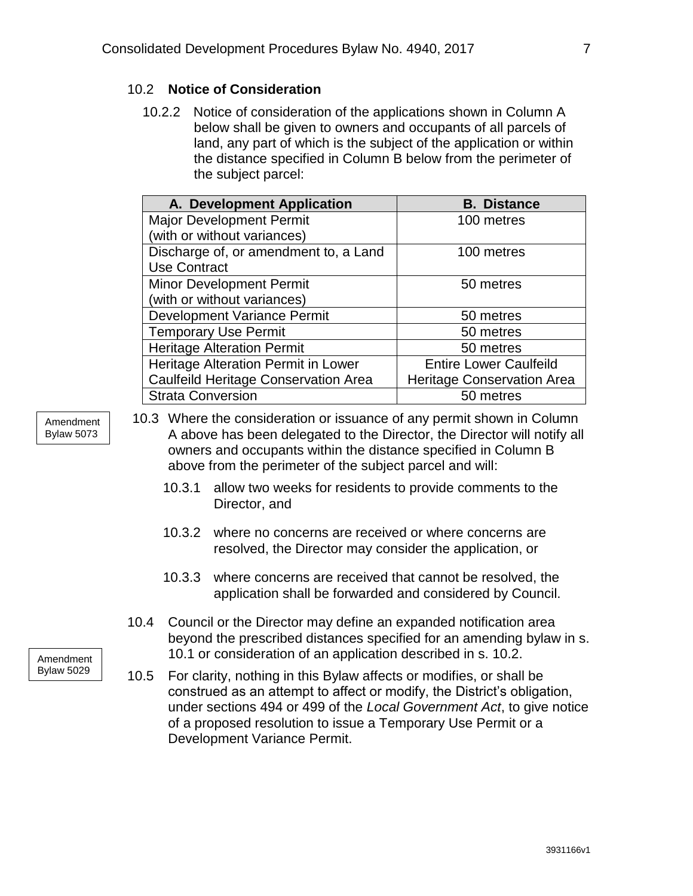### 10.2 **Notice of Consideration**

10.2.2 Notice of consideration of the applications shown in Column A below shall be given to owners and occupants of all parcels of land, any part of which is the subject of the application or within the distance specified in Column B below from the perimeter of the subject parcel:

| A. Development Application                  | <b>B.</b> Distance                |
|---------------------------------------------|-----------------------------------|
| <b>Major Development Permit</b>             | 100 metres                        |
| (with or without variances)                 |                                   |
| Discharge of, or amendment to, a Land       | 100 metres                        |
| <b>Use Contract</b>                         |                                   |
| <b>Minor Development Permit</b>             | 50 metres                         |
| (with or without variances)                 |                                   |
| Development Variance Permit                 | 50 metres                         |
| <b>Temporary Use Permit</b>                 | 50 metres                         |
| <b>Heritage Alteration Permit</b>           | 50 metres                         |
| Heritage Alteration Permit in Lower         | <b>Entire Lower Caulfeild</b>     |
| <b>Caulfeild Heritage Conservation Area</b> | <b>Heritage Conservation Area</b> |
| <b>Strata Conversion</b>                    | 50 metres                         |

- Amendment Bylaw 5073
- 10.3 Where the consideration or issuance of any permit shown in Column A above has been delegated to the Director, the Director will notify all owners and occupants within the distance specified in Column B above from the perimeter of the subject parcel and will:
	- 10.3.1 allow two weeks for residents to provide comments to the Director, and
	- 10.3.2 where no concerns are received or where concerns are resolved, the Director may consider the application, or
	- 10.3.3 where concerns are received that cannot be resolved, the application shall be forwarded and considered by Council.
- 10.4 Council or the Director may define an expanded notification area beyond the prescribed distances specified for an amending bylaw in s. 10.1 or consideration of an application described in s. 10.2.
- 10.5 For clarity, nothing in this Bylaw affects or modifies, or shall be construed as an attempt to affect or modify, the District's obligation, under sections 494 or 499 of the *Local Government Act*, to give notice of a proposed resolution to issue a Temporary Use Permit or a Development Variance Permit.

Amendment Bylaw 5029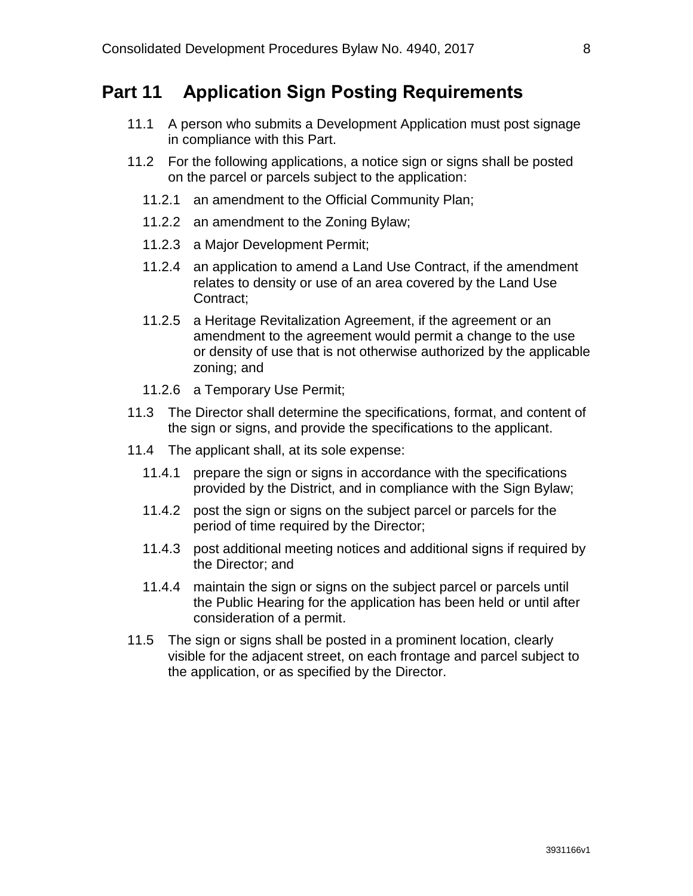### <span id="page-9-0"></span>**Part 11 Application Sign Posting Requirements**

- 11.1 A person who submits a Development Application must post signage in compliance with this Part.
- 11.2 For the following applications, a notice sign or signs shall be posted on the parcel or parcels subject to the application:
	- 11.2.1 an amendment to the Official Community Plan;
	- 11.2.2 an amendment to the Zoning Bylaw;
	- 11.2.3 a Major Development Permit;
	- 11.2.4 an application to amend a Land Use Contract, if the amendment relates to density or use of an area covered by the Land Use Contract;
	- 11.2.5 a Heritage Revitalization Agreement, if the agreement or an amendment to the agreement would permit a change to the use or density of use that is not otherwise authorized by the applicable zoning; and
	- 11.2.6 a Temporary Use Permit;
- 11.3 The Director shall determine the specifications, format, and content of the sign or signs, and provide the specifications to the applicant.
- 11.4 The applicant shall, at its sole expense:
	- 11.4.1 prepare the sign or signs in accordance with the specifications provided by the District, and in compliance with the Sign Bylaw;
	- 11.4.2 post the sign or signs on the subject parcel or parcels for the period of time required by the Director;
	- 11.4.3 post additional meeting notices and additional signs if required by the Director; and
	- 11.4.4 maintain the sign or signs on the subject parcel or parcels until the Public Hearing for the application has been held or until after consideration of a permit.
- <span id="page-9-1"></span>11.5 The sign or signs shall be posted in a prominent location, clearly visible for the adjacent street, on each frontage and parcel subject to the application, or as specified by the Director.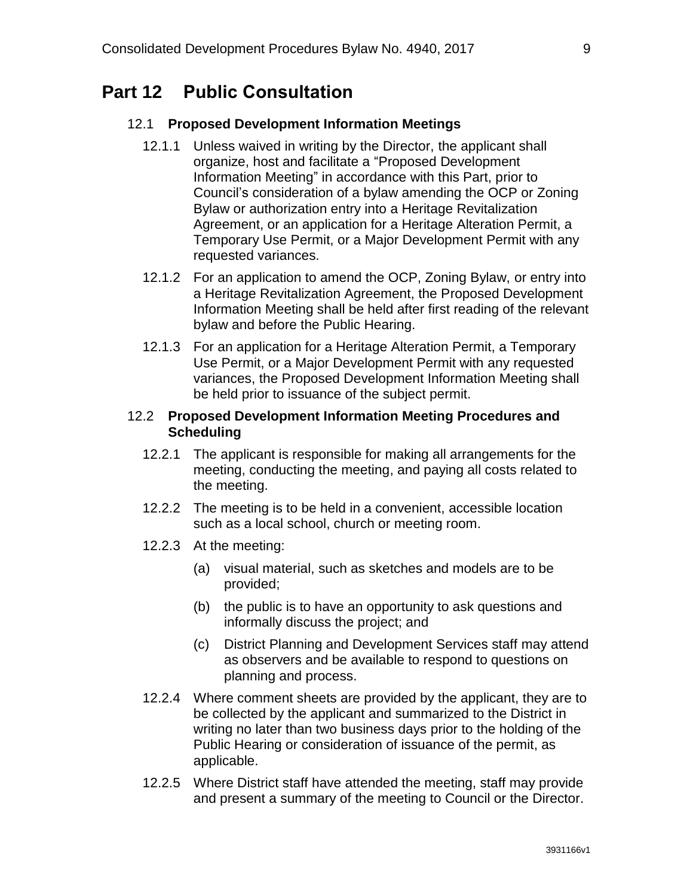### **Part 12 Public Consultation**

#### 12.1 **Proposed Development Information Meetings**

- 12.1.1 Unless waived in writing by the Director, the applicant shall organize, host and facilitate a "Proposed Development Information Meeting" in accordance with this Part, prior to Council's consideration of a bylaw amending the OCP or Zoning Bylaw or authorization entry into a Heritage Revitalization Agreement, or an application for a Heritage Alteration Permit, a Temporary Use Permit, or a Major Development Permit with any requested variances.
- 12.1.2 For an application to amend the OCP, Zoning Bylaw, or entry into a Heritage Revitalization Agreement, the Proposed Development Information Meeting shall be held after first reading of the relevant bylaw and before the Public Hearing.
- 12.1.3 For an application for a Heritage Alteration Permit, a Temporary Use Permit, or a Major Development Permit with any requested variances, the Proposed Development Information Meeting shall be held prior to issuance of the subject permit.

#### 12.2 **Proposed Development Information Meeting Procedures and Scheduling**

- 12.2.1 The applicant is responsible for making all arrangements for the meeting, conducting the meeting, and paying all costs related to the meeting.
- 12.2.2 The meeting is to be held in a convenient, accessible location such as a local school, church or meeting room.
- 12.2.3 At the meeting:
	- (a) visual material, such as sketches and models are to be provided;
	- (b) the public is to have an opportunity to ask questions and informally discuss the project; and
	- (c) District Planning and Development Services staff may attend as observers and be available to respond to questions on planning and process.
- 12.2.4 Where comment sheets are provided by the applicant, they are to be collected by the applicant and summarized to the District in writing no later than two business days prior to the holding of the Public Hearing or consideration of issuance of the permit, as applicable.
- 12.2.5 Where District staff have attended the meeting, staff may provide and present a summary of the meeting to Council or the Director.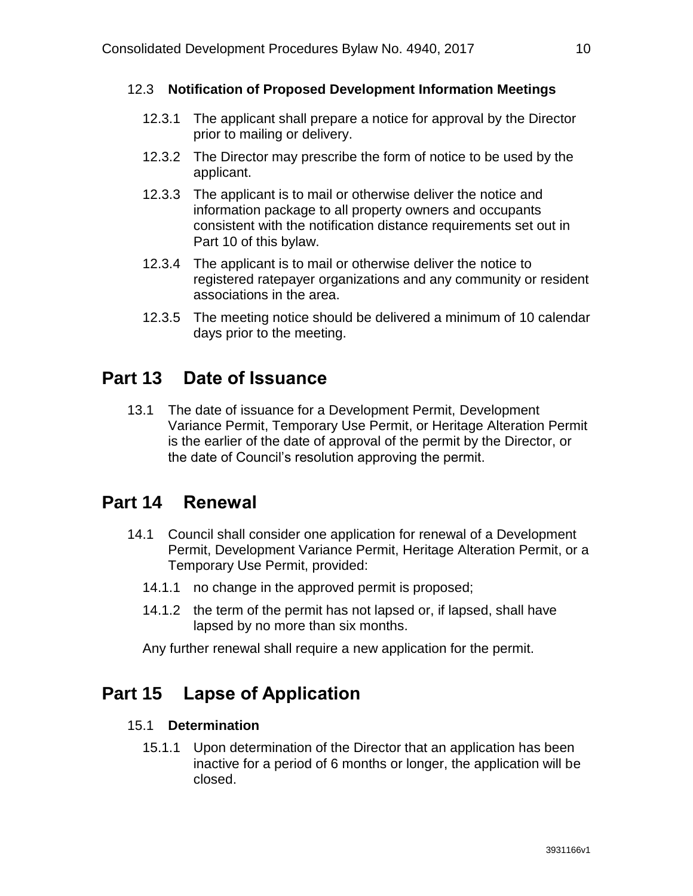#### 12.3 **Notification of Proposed Development Information Meetings**

- 12.3.1 The applicant shall prepare a notice for approval by the Director prior to mailing or delivery.
- 12.3.2 The Director may prescribe the form of notice to be used by the applicant.
- 12.3.3 The applicant is to mail or otherwise deliver the notice and information package to all property owners and occupants consistent with the notification distance requirements set out in Part 10 of this bylaw.
- 12.3.4 The applicant is to mail or otherwise deliver the notice to registered ratepayer organizations and any community or resident associations in the area.
- 12.3.5 The meeting notice should be delivered a minimum of 10 calendar days prior to the meeting.

### <span id="page-11-0"></span>**Part 13 Date of Issuance**

13.1 The date of issuance for a Development Permit, Development Variance Permit, Temporary Use Permit, or Heritage Alteration Permit is the earlier of the date of approval of the permit by the Director, or the date of Council's resolution approving the permit.

### <span id="page-11-1"></span>**Part 14 Renewal**

- 14.1 Council shall consider one application for renewal of a Development Permit, Development Variance Permit, Heritage Alteration Permit, or a Temporary Use Permit, provided:
	- 14.1.1 no change in the approved permit is proposed;
	- 14.1.2 the term of the permit has not lapsed or, if lapsed, shall have lapsed by no more than six months.

Any further renewal shall require a new application for the permit.

### <span id="page-11-2"></span>**Part 15 Lapse of Application**

#### 15.1 **Determination**

15.1.1 Upon determination of the Director that an application has been inactive for a period of 6 months or longer, the application will be closed.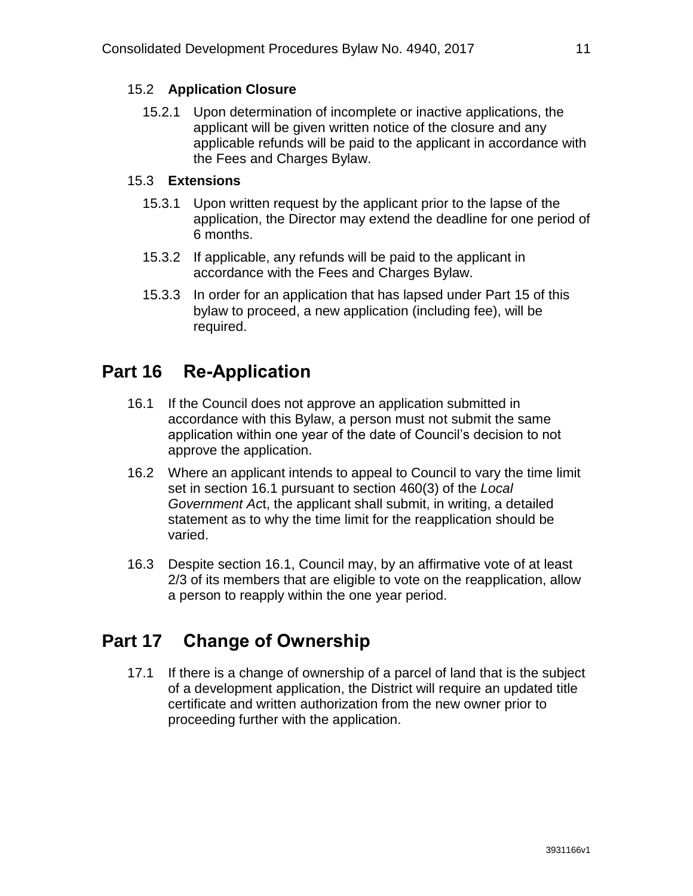### 15.2 **Application Closure**

15.2.1 Upon determination of incomplete or inactive applications, the applicant will be given written notice of the closure and any applicable refunds will be paid to the applicant in accordance with the Fees and Charges Bylaw.

### 15.3 **Extensions**

- 15.3.1 Upon written request by the applicant prior to the lapse of the application, the Director may extend the deadline for one period of 6 months.
- 15.3.2 If applicable, any refunds will be paid to the applicant in accordance with the Fees and Charges Bylaw.
- 15.3.3 In order for an application that has lapsed under Part 15 of this bylaw to proceed, a new application (including fee), will be required.

# <span id="page-12-0"></span>**Part 16 Re-Application**

- 16.1 If the Council does not approve an application submitted in accordance with this Bylaw, a person must not submit the same application within one year of the date of Council's decision to not approve the application.
- 16.2 Where an applicant intends to appeal to Council to vary the time limit set in section 16.1 pursuant to section 460(3) of the *Local Government Ac*t, the applicant shall submit, in writing, a detailed statement as to why the time limit for the reapplication should be varied.
- 16.3 Despite section 16.1, Council may, by an affirmative vote of at least 2/3 of its members that are eligible to vote on the reapplication, allow a person to reapply within the one year period.

# <span id="page-12-1"></span>**Part 17 Change of Ownership**

<span id="page-12-2"></span>17.1 If there is a change of ownership of a parcel of land that is the subject of a development application, the District will require an updated title certificate and written authorization from the new owner prior to proceeding further with the application.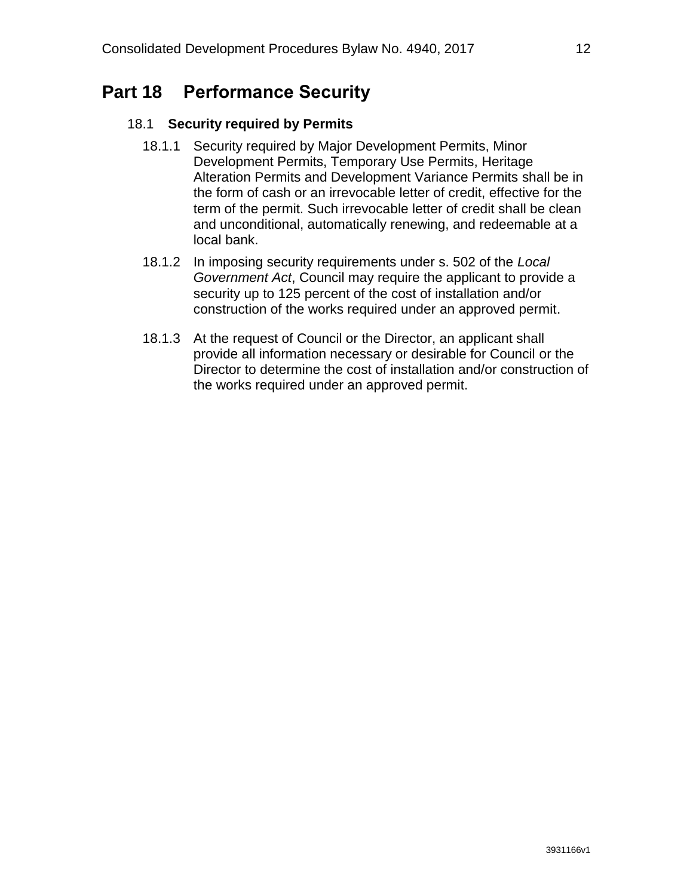# **Part 18 Performance Security**

### 18.1 **Security required by Permits**

- 18.1.1 Security required by Major Development Permits, Minor Development Permits, Temporary Use Permits, Heritage Alteration Permits and Development Variance Permits shall be in the form of cash or an irrevocable letter of credit, effective for the term of the permit. Such irrevocable letter of credit shall be clean and unconditional, automatically renewing, and redeemable at a local bank.
- 18.1.2 In imposing security requirements under s. 502 of the *Local Government Act*, Council may require the applicant to provide a security up to 125 percent of the cost of installation and/or construction of the works required under an approved permit.
- 18.1.3 At the request of Council or the Director, an applicant shall provide all information necessary or desirable for Council or the Director to determine the cost of installation and/or construction of the works required under an approved permit.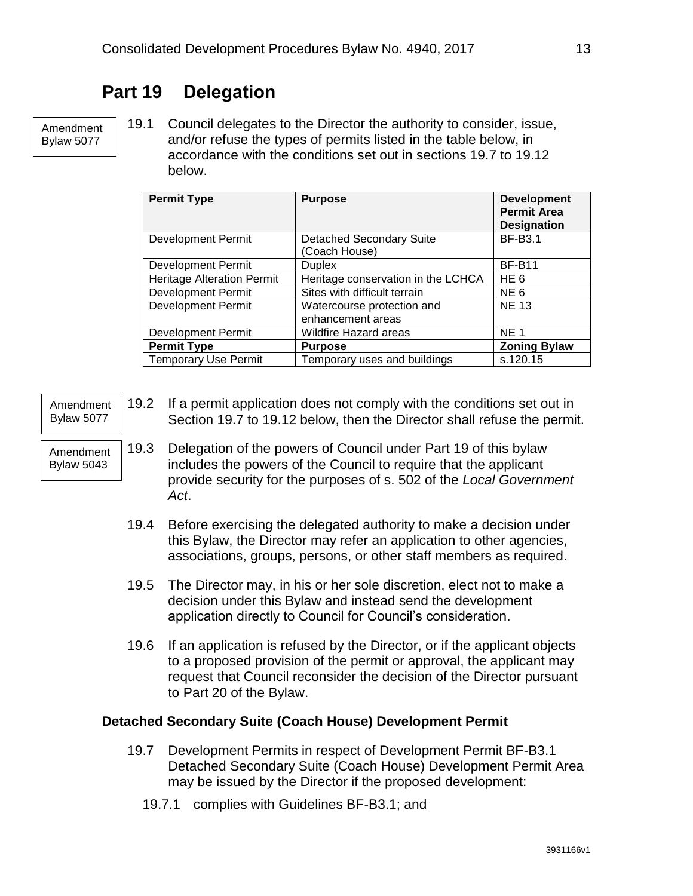# **Part 19 Delegation**

Amendment Bylaw 5077

<span id="page-14-0"></span>19.1 Council delegates to the Director the authority to consider, issue, and/or refuse the types of permits listed in the table below, in accordance with the conditions set out in sections 19.7 to 19.12 below.

| <b>Permit Type</b>                | <b>Purpose</b>                                   | <b>Development</b><br><b>Permit Area</b><br><b>Designation</b> |
|-----------------------------------|--------------------------------------------------|----------------------------------------------------------------|
| <b>Development Permit</b>         | <b>Detached Secondary Suite</b><br>(Coach House) | <b>BF-B3.1</b>                                                 |
| <b>Development Permit</b>         | <b>Duplex</b>                                    | <b>BF-B11</b>                                                  |
| <b>Heritage Alteration Permit</b> | Heritage conservation in the LCHCA               | HE <sub>6</sub>                                                |
| <b>Development Permit</b>         | Sites with difficult terrain                     | NE <sub>6</sub>                                                |
| <b>Development Permit</b>         | Watercourse protection and<br>enhancement areas  | <b>NE 13</b>                                                   |
| <b>Development Permit</b>         | <b>Wildfire Hazard areas</b>                     | <b>NE1</b>                                                     |
| <b>Permit Type</b>                | <b>Purpose</b>                                   | <b>Zoning Bylaw</b>                                            |
| <b>Temporary Use Permit</b>       | Temporary uses and buildings                     | s.120.15                                                       |

| Amendment<br><b>Bylaw 5077</b> | 19.2 | If a permit application does not comply with the conditions set out in<br>Section 19.7 to 19.12 below, then the Director shall refuse the permit.                                                                     |
|--------------------------------|------|-----------------------------------------------------------------------------------------------------------------------------------------------------------------------------------------------------------------------|
| Amendment<br><b>Bylaw 5043</b> | 19.3 | Delegation of the powers of Council under Part 19 of this bylaw<br>includes the powers of the Council to require that the applicant<br>provide security for the purposes of s. 502 of the Local Government<br>Act.    |
|                                |      | 19.4 Before exercising the delegated authority to make a decision under<br>this Bylaw, the Director may refer an application to other agencies,<br>associations, groups, persons, or other staff members as required. |
|                                | 19.5 | The Director may, in his or her sole discretion, elect not to make a<br>decision under this Bylaw and instead send the development<br>application directly to Council for Council's consideration.                    |
|                                | 19.6 | If an application is refused by the Director, or if the applicant objects<br>to a proposed provision of the permit or approval. the applicant may                                                                     |

to a proposed provision of the permit or approval, the applicant may request that Council reconsider the decision of the Director pursuant to Part 20 of the Bylaw.

#### **Detached Secondary Suite (Coach House) Development Permit**

- 19.7 Development Permits in respect of Development Permit BF-B3.1 Detached Secondary Suite (Coach House) Development Permit Area may be issued by the Director if the proposed development:
	- 19.7.1 complies with Guidelines BF-B3.1; and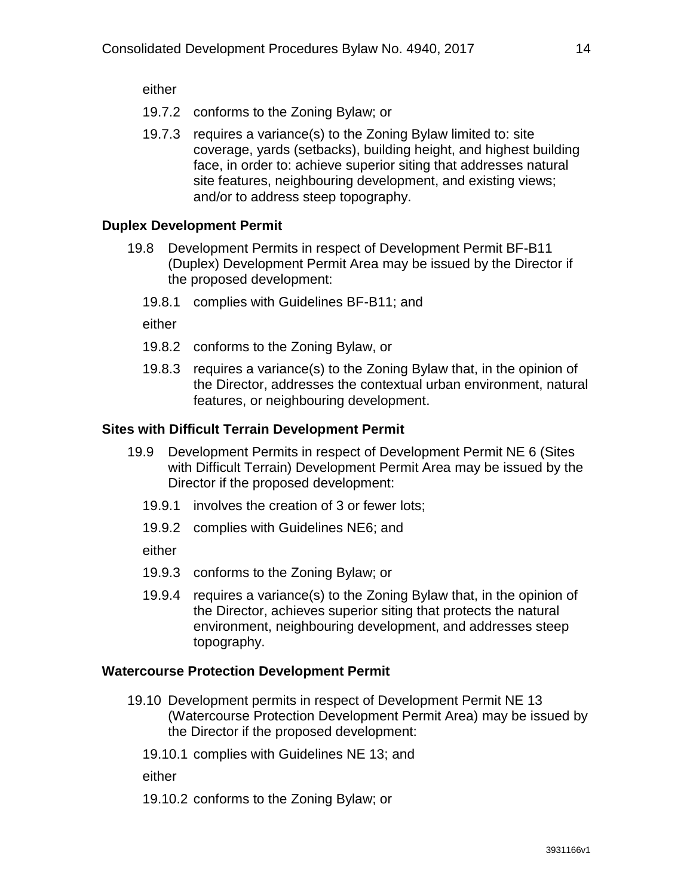either

- 19.7.2 conforms to the Zoning Bylaw; or
- 19.7.3 requires a variance(s) to the Zoning Bylaw limited to: site coverage, yards (setbacks), building height, and highest building face, in order to: achieve superior siting that addresses natural site features, neighbouring development, and existing views; and/or to address steep topography.

### **Duplex Development Permit**

- 19.8 Development Permits in respect of Development Permit BF-B11 (Duplex) Development Permit Area may be issued by the Director if the proposed development:
	- 19.8.1 complies with Guidelines BF-B11; and

either

- 19.8.2 conforms to the Zoning Bylaw, or
- 19.8.3 requires a variance(s) to the Zoning Bylaw that, in the opinion of the Director, addresses the contextual urban environment, natural features, or neighbouring development.

### **Sites with Difficult Terrain Development Permit**

- 19.9 Development Permits in respect of Development Permit NE 6 (Sites with Difficult Terrain) Development Permit Area may be issued by the Director if the proposed development:
	- 19.9.1 involves the creation of 3 or fewer lots;
	- 19.9.2 complies with Guidelines NE6; and

either

- 19.9.3 conforms to the Zoning Bylaw; or
- 19.9.4 requires a variance(s) to the Zoning Bylaw that, in the opinion of the Director, achieves superior siting that protects the natural environment, neighbouring development, and addresses steep topography.

### **Watercourse Protection Development Permit**

- 19.10 Development permits in respect of Development Permit NE 13 (Watercourse Protection Development Permit Area) may be issued by the Director if the proposed development:
	- 19.10.1 complies with Guidelines NE 13; and

either

19.10.2 conforms to the Zoning Bylaw; or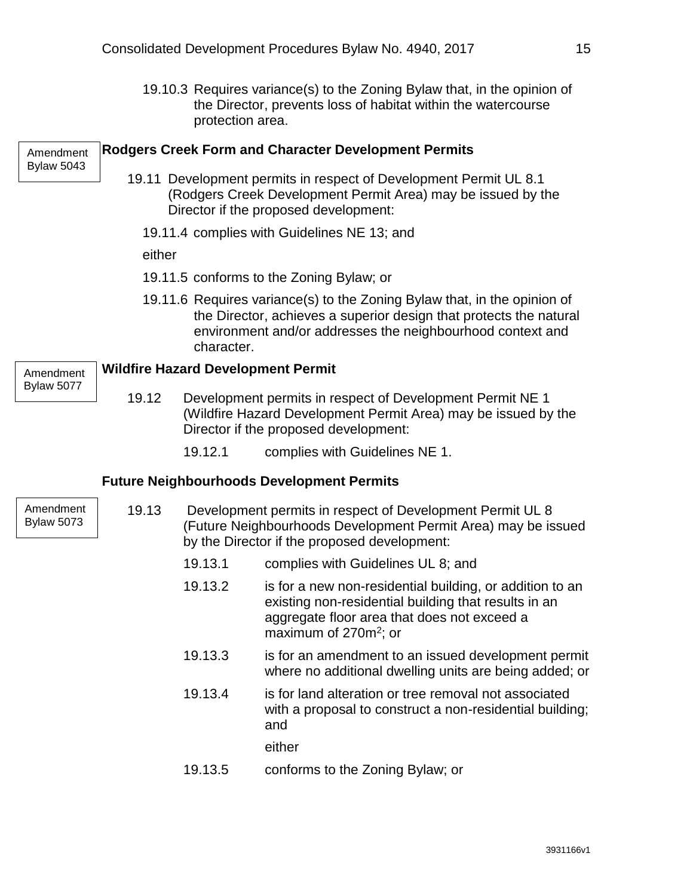19.10.3 Requires variance(s) to the Zoning Bylaw that, in the opinion of the Director, prevents loss of habitat within the watercourse protection area.

| Amendment<br><b>Bylaw 5043</b> |                                                                                                                                                                                                                           |                                                                                                                                                                      | <b>Rodgers Creek Form and Character Development Permits</b>                                                                                                                                                  |  |  |  |
|--------------------------------|---------------------------------------------------------------------------------------------------------------------------------------------------------------------------------------------------------------------------|----------------------------------------------------------------------------------------------------------------------------------------------------------------------|--------------------------------------------------------------------------------------------------------------------------------------------------------------------------------------------------------------|--|--|--|
|                                | 19.11 Development permits in respect of Development Permit UL 8.1<br>(Rodgers Creek Development Permit Area) may be issued by the<br>Director if the proposed development:<br>19.11.4 complies with Guidelines NE 13; and |                                                                                                                                                                      |                                                                                                                                                                                                              |  |  |  |
|                                |                                                                                                                                                                                                                           |                                                                                                                                                                      |                                                                                                                                                                                                              |  |  |  |
|                                |                                                                                                                                                                                                                           | either                                                                                                                                                               |                                                                                                                                                                                                              |  |  |  |
|                                |                                                                                                                                                                                                                           |                                                                                                                                                                      | 19.11.5 conforms to the Zoning Bylaw; or                                                                                                                                                                     |  |  |  |
|                                |                                                                                                                                                                                                                           | character.                                                                                                                                                           | 19.11.6 Requires variance(s) to the Zoning Bylaw that, in the opinion of<br>the Director, achieves a superior design that protects the natural<br>environment and/or addresses the neighbourhood context and |  |  |  |
| Amendment                      |                                                                                                                                                                                                                           |                                                                                                                                                                      | <b>Wildfire Hazard Development Permit</b>                                                                                                                                                                    |  |  |  |
| <b>Bylaw 5077</b>              | 19.12                                                                                                                                                                                                                     | Development permits in respect of Development Permit NE 1<br>(Wildfire Hazard Development Permit Area) may be issued by the<br>Director if the proposed development: |                                                                                                                                                                                                              |  |  |  |
|                                |                                                                                                                                                                                                                           | 19.12.1                                                                                                                                                              | complies with Guidelines NE 1.                                                                                                                                                                               |  |  |  |
|                                |                                                                                                                                                                                                                           |                                                                                                                                                                      | <b>Future Neighbourhoods Development Permits</b>                                                                                                                                                             |  |  |  |
| Amendment<br><b>Bylaw 5073</b> | 19.13<br>by the Director if the proposed development:                                                                                                                                                                     |                                                                                                                                                                      | Development permits in respect of Development Permit UL 8<br>(Future Neighbourhoods Development Permit Area) may be issued                                                                                   |  |  |  |
|                                |                                                                                                                                                                                                                           | 19.13.1                                                                                                                                                              | complies with Guidelines UL 8; and                                                                                                                                                                           |  |  |  |
|                                |                                                                                                                                                                                                                           | 19.13.2                                                                                                                                                              | is for a new non-residential building, or addition to an<br>existing non-residential building that results in an<br>aggregate floor area that does not exceed a<br>maximum of $270m^2$ ; or                  |  |  |  |
|                                |                                                                                                                                                                                                                           | 19.13.3                                                                                                                                                              | is for an amendment to an issued development permit<br>where no additional dwelling units are being added; or                                                                                                |  |  |  |
|                                |                                                                                                                                                                                                                           | 19.13.4                                                                                                                                                              | is for land alteration or tree removal not associated<br>with a proposal to construct a non-residential building;<br>and                                                                                     |  |  |  |

19.13.5 conforms to the Zoning Bylaw; or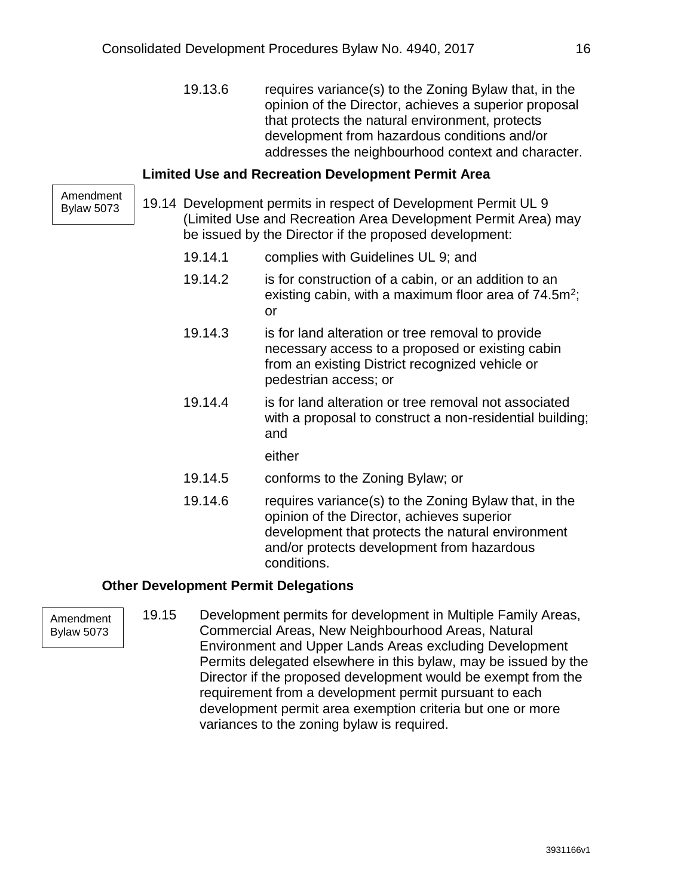19.13.6 requires variance(s) to the Zoning Bylaw that, in the opinion of the Director, achieves a superior proposal that protects the natural environment, protects development from hazardous conditions and/or addresses the neighbourhood context and character.

#### **Limited Use and Recreation Development Permit Area**

Amendment Bylaw 5073

- 19.14 Development permits in respect of Development Permit UL 9 (Limited Use and Recreation Area Development Permit Area) may be issued by the Director if the proposed development:
	- 19.14.1 complies with Guidelines UL 9; and
	- 19.14.2 is for construction of a cabin, or an addition to an existing cabin, with a maximum floor area of  $74.5m^2$ ; or
	- 19.14.3 is for land alteration or tree removal to provide necessary access to a proposed or existing cabin from an existing District recognized vehicle or pedestrian access; or
	- 19.14.4 is for land alteration or tree removal not associated with a proposal to construct a non-residential building; and

either

- 19.14.5 conforms to the Zoning Bylaw; or
- 19.14.6 requires variance(s) to the Zoning Bylaw that, in the opinion of the Director, achieves superior development that protects the natural environment and/or protects development from hazardous conditions.

#### **Other Development Permit Delegations**

Amendment Bylaw 5073

19.15 Development permits for development in Multiple Family Areas, Commercial Areas, New Neighbourhood Areas, Natural Environment and Upper Lands Areas excluding Development Permits delegated elsewhere in this bylaw, may be issued by the Director if the proposed development would be exempt from the requirement from a development permit pursuant to each development permit area exemption criteria but one or more variances to the zoning bylaw is required.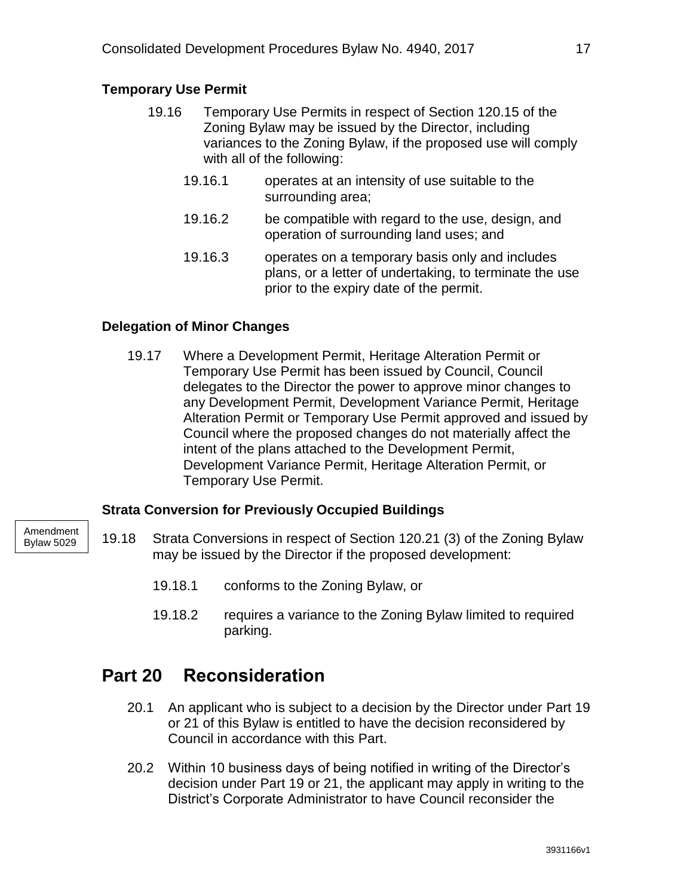### **Temporary Use Permit**

- 19.16 Temporary Use Permits in respect of Section 120.15 of the Zoning Bylaw may be issued by the Director, including variances to the Zoning Bylaw, if the proposed use will comply with all of the following:
	- 19.16.1 operates at an intensity of use suitable to the surrounding area;
	- 19.16.2 be compatible with regard to the use, design, and operation of surrounding land uses; and
	- 19.16.3 operates on a temporary basis only and includes plans, or a letter of undertaking, to terminate the use prior to the expiry date of the permit.

### **Delegation of Minor Changes**

19.17 Where a Development Permit, Heritage Alteration Permit or Temporary Use Permit has been issued by Council, Council delegates to the Director the power to approve minor changes to any Development Permit, Development Variance Permit, Heritage Alteration Permit or Temporary Use Permit approved and issued by Council where the proposed changes do not materially affect the intent of the plans attached to the Development Permit, Development Variance Permit, Heritage Alteration Permit, or Temporary Use Permit.

### **Strata Conversion for Previously Occupied Buildings**

- 19.18 Strata Conversions in respect of Section 120.21 (3) of the Zoning Bylaw may be issued by the Director if the proposed development:
	- 19.18.1 conforms to the Zoning Bylaw, or
	- 19.18.2 requires a variance to the Zoning Bylaw limited to required parking.

### <span id="page-18-0"></span>**Part 20 Reconsideration**

- 20.1 An applicant who is subject to a decision by the Director under Part 19 or 21 of this Bylaw is entitled to have the decision reconsidered by Council in accordance with this Part.
- 20.2 Within 10 business days of being notified in writing of the Director's decision under Part 19 or 21, the applicant may apply in writing to the District's Corporate Administrator to have Council reconsider the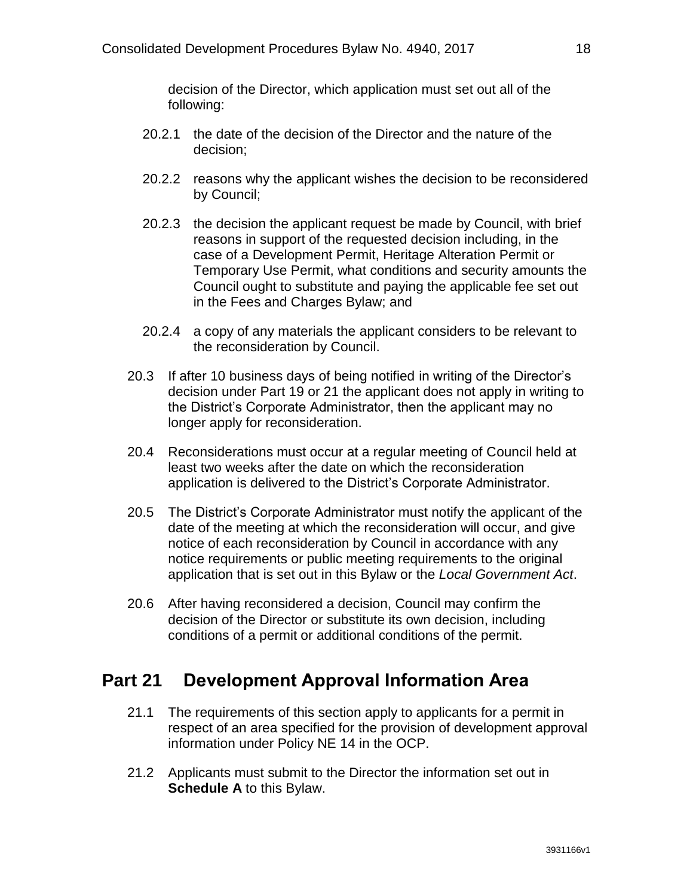decision of the Director, which application must set out all of the following:

- 20.2.1 the date of the decision of the Director and the nature of the decision;
- 20.2.2 reasons why the applicant wishes the decision to be reconsidered by Council;
- 20.2.3 the decision the applicant request be made by Council, with brief reasons in support of the requested decision including, in the case of a Development Permit, Heritage Alteration Permit or Temporary Use Permit, what conditions and security amounts the Council ought to substitute and paying the applicable fee set out in the Fees and Charges Bylaw; and
- 20.2.4 a copy of any materials the applicant considers to be relevant to the reconsideration by Council.
- 20.3 If after 10 business days of being notified in writing of the Director's decision under Part 19 or 21 the applicant does not apply in writing to the District's Corporate Administrator, then the applicant may no longer apply for reconsideration.
- 20.4 Reconsiderations must occur at a regular meeting of Council held at least two weeks after the date on which the reconsideration application is delivered to the District's Corporate Administrator.
- 20.5 The District's Corporate Administrator must notify the applicant of the date of the meeting at which the reconsideration will occur, and give notice of each reconsideration by Council in accordance with any notice requirements or public meeting requirements to the original application that is set out in this Bylaw or the *Local Government Act*.
- 20.6 After having reconsidered a decision, Council may confirm the decision of the Director or substitute its own decision, including conditions of a permit or additional conditions of the permit.

# <span id="page-19-0"></span>**Part 21 Development Approval Information Area**

- 21.1 The requirements of this section apply to applicants for a permit in respect of an area specified for the provision of development approval information under Policy NE 14 in the OCP.
- 21.2 Applicants must submit to the Director the information set out in **Schedule A** to this Bylaw.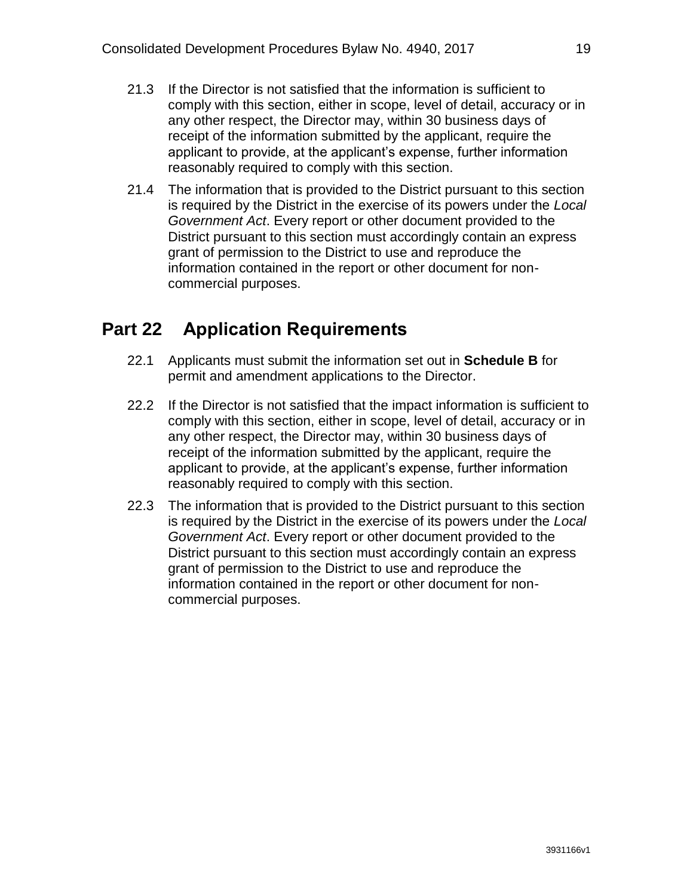- 21.3 If the Director is not satisfied that the information is sufficient to comply with this section, either in scope, level of detail, accuracy or in any other respect, the Director may, within 30 business days of receipt of the information submitted by the applicant, require the applicant to provide, at the applicant's expense, further information reasonably required to comply with this section.
- 21.4 The information that is provided to the District pursuant to this section is required by the District in the exercise of its powers under the *Local Government Act*. Every report or other document provided to the District pursuant to this section must accordingly contain an express grant of permission to the District to use and reproduce the information contained in the report or other document for noncommercial purposes.

### <span id="page-20-0"></span>**Part 22 Application Requirements**

- 22.1 Applicants must submit the information set out in **Schedule B** for permit and amendment applications to the Director.
- 22.2 If the Director is not satisfied that the impact information is sufficient to comply with this section, either in scope, level of detail, accuracy or in any other respect, the Director may, within 30 business days of receipt of the information submitted by the applicant, require the applicant to provide, at the applicant's expense, further information reasonably required to comply with this section.
- 22.3 The information that is provided to the District pursuant to this section is required by the District in the exercise of its powers under the *Local Government Act*. Every report or other document provided to the District pursuant to this section must accordingly contain an express grant of permission to the District to use and reproduce the information contained in the report or other document for noncommercial purposes.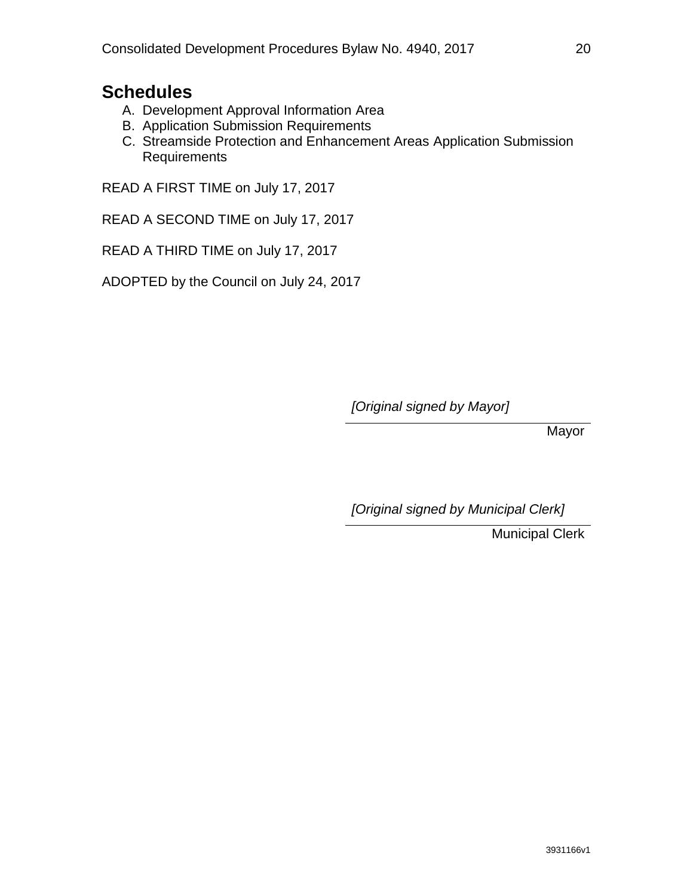### **Schedules**

- A. Development Approval Information Area
- B. Application Submission Requirements
- C. Streamside Protection and Enhancement Areas Application Submission Requirements

READ A FIRST TIME on July 17, 2017

READ A SECOND TIME on July 17, 2017

READ A THIRD TIME on July 17, 2017

ADOPTED by the Council on July 24, 2017

*[Original signed by Mayor]*

Mayor

*[Original signed by Municipal Clerk]*

Municipal Clerk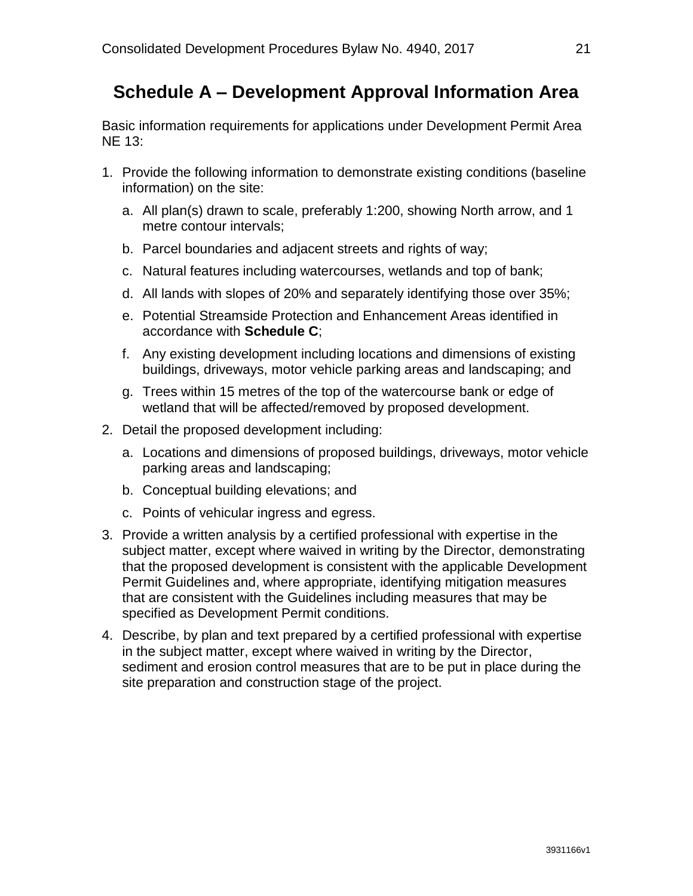### <span id="page-22-0"></span>**Schedule A – Development Approval Information Area**

Basic information requirements for applications under Development Permit Area NE 13:

- 1. Provide the following information to demonstrate existing conditions (baseline information) on the site:
	- a. All plan(s) drawn to scale, preferably 1:200, showing North arrow, and 1 metre contour intervals;
	- b. Parcel boundaries and adjacent streets and rights of way;
	- c. Natural features including watercourses, wetlands and top of bank;
	- d. All lands with slopes of 20% and separately identifying those over 35%;
	- e. Potential Streamside Protection and Enhancement Areas identified in accordance with **Schedule C**;
	- f. Any existing development including locations and dimensions of existing buildings, driveways, motor vehicle parking areas and landscaping; and
	- g. Trees within 15 metres of the top of the watercourse bank or edge of wetland that will be affected/removed by proposed development.
- 2. Detail the proposed development including:
	- a. Locations and dimensions of proposed buildings, driveways, motor vehicle parking areas and landscaping;
	- b. Conceptual building elevations; and
	- c. Points of vehicular ingress and egress.
- 3. Provide a written analysis by a certified professional with expertise in the subject matter, except where waived in writing by the Director, demonstrating that the proposed development is consistent with the applicable Development Permit Guidelines and, where appropriate, identifying mitigation measures that are consistent with the Guidelines including measures that may be specified as Development Permit conditions.
- 4. Describe, by plan and text prepared by a certified professional with expertise in the subject matter, except where waived in writing by the Director, sediment and erosion control measures that are to be put in place during the site preparation and construction stage of the project.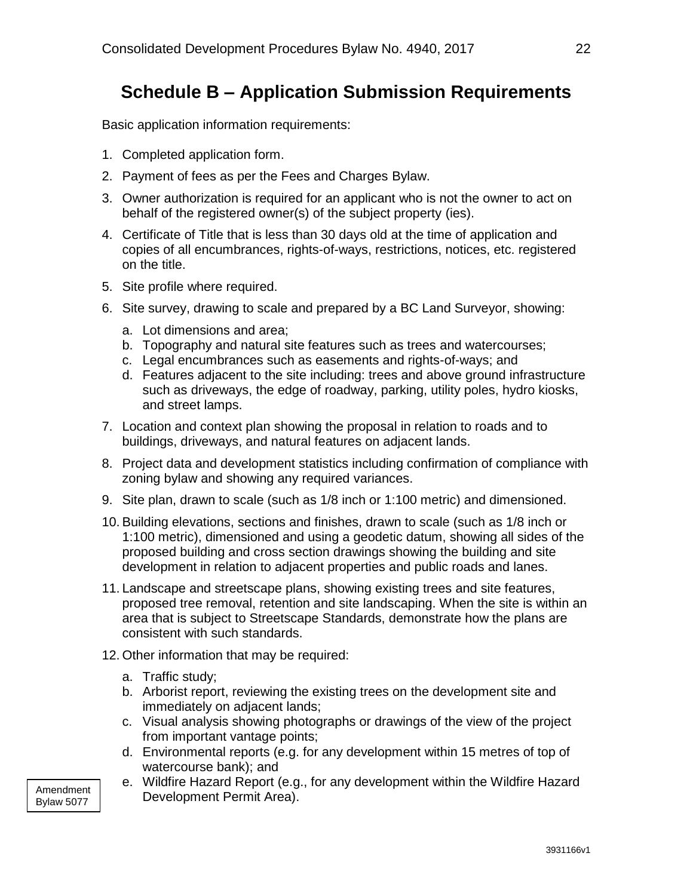## <span id="page-23-0"></span>**Schedule B – Application Submission Requirements**

Basic application information requirements:

- 1. Completed application form.
- 2. Payment of fees as per the Fees and Charges Bylaw.
- 3. Owner authorization is required for an applicant who is not the owner to act on behalf of the registered owner(s) of the subject property (ies).
- 4. Certificate of Title that is less than 30 days old at the time of application and copies of all encumbrances, rights-of-ways, restrictions, notices, etc. registered on the title.
- 5. Site profile where required.
- 6. Site survey, drawing to scale and prepared by a BC Land Surveyor, showing:
	- a. Lot dimensions and area;
	- b. Topography and natural site features such as trees and watercourses;
	- c. Legal encumbrances such as easements and rights-of-ways; and
	- d. Features adjacent to the site including: trees and above ground infrastructure such as driveways, the edge of roadway, parking, utility poles, hydro kiosks, and street lamps.
- 7. Location and context plan showing the proposal in relation to roads and to buildings, driveways, and natural features on adjacent lands.
- 8. Project data and development statistics including confirmation of compliance with zoning bylaw and showing any required variances.
- 9. Site plan, drawn to scale (such as 1/8 inch or 1:100 metric) and dimensioned.
- 10. Building elevations, sections and finishes, drawn to scale (such as 1/8 inch or 1:100 metric), dimensioned and using a geodetic datum, showing all sides of the proposed building and cross section drawings showing the building and site development in relation to adjacent properties and public roads and lanes.
- 11. Landscape and streetscape plans, showing existing trees and site features, proposed tree removal, retention and site landscaping. When the site is within an area that is subject to Streetscape Standards, demonstrate how the plans are consistent with such standards.
- 12. Other information that may be required:
	- a. Traffic study;
	- b. Arborist report, reviewing the existing trees on the development site and immediately on adjacent lands;
	- c. Visual analysis showing photographs or drawings of the view of the project from important vantage points;
	- d. Environmental reports (e.g. for any development within 15 metres of top of watercourse bank); and
	- e. Wildfire Hazard Report (e.g., for any development within the Wildfire Hazard Development Permit Area).

Amendment Bylaw 5077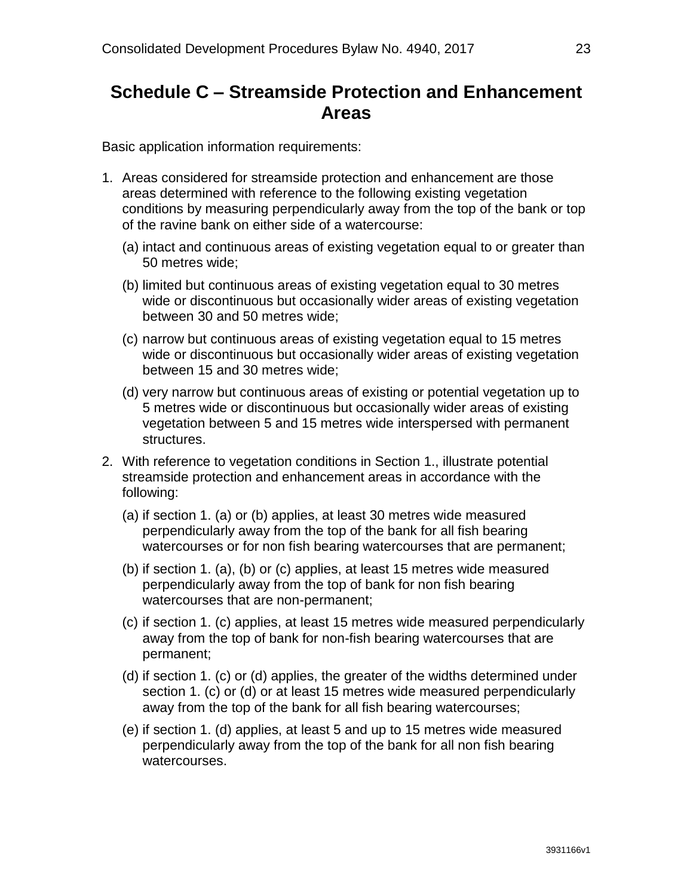### <span id="page-24-0"></span>**Schedule C – Streamside Protection and Enhancement Areas**

Basic application information requirements:

- 1. Areas considered for streamside protection and enhancement are those areas determined with reference to the following existing vegetation conditions by measuring perpendicularly away from the top of the bank or top of the ravine bank on either side of a watercourse:
	- (a) intact and continuous areas of existing vegetation equal to or greater than 50 metres wide;
	- (b) limited but continuous areas of existing vegetation equal to 30 metres wide or discontinuous but occasionally wider areas of existing vegetation between 30 and 50 metres wide;
	- (c) narrow but continuous areas of existing vegetation equal to 15 metres wide or discontinuous but occasionally wider areas of existing vegetation between 15 and 30 metres wide;
	- (d) very narrow but continuous areas of existing or potential vegetation up to 5 metres wide or discontinuous but occasionally wider areas of existing vegetation between 5 and 15 metres wide interspersed with permanent structures.
- 2. With reference to vegetation conditions in Section 1., illustrate potential streamside protection and enhancement areas in accordance with the following:
	- (a) if section 1. (a) or (b) applies, at least 30 metres wide measured perpendicularly away from the top of the bank for all fish bearing watercourses or for non fish bearing watercourses that are permanent;
	- (b) if section 1. (a), (b) or (c) applies, at least 15 metres wide measured perpendicularly away from the top of bank for non fish bearing watercourses that are non-permanent;
	- (c) if section 1. (c) applies, at least 15 metres wide measured perpendicularly away from the top of bank for non-fish bearing watercourses that are permanent;
	- (d) if section 1. (c) or (d) applies, the greater of the widths determined under section 1. (c) or (d) or at least 15 metres wide measured perpendicularly away from the top of the bank for all fish bearing watercourses;
	- (e) if section 1. (d) applies, at least 5 and up to 15 metres wide measured perpendicularly away from the top of the bank for all non fish bearing watercourses.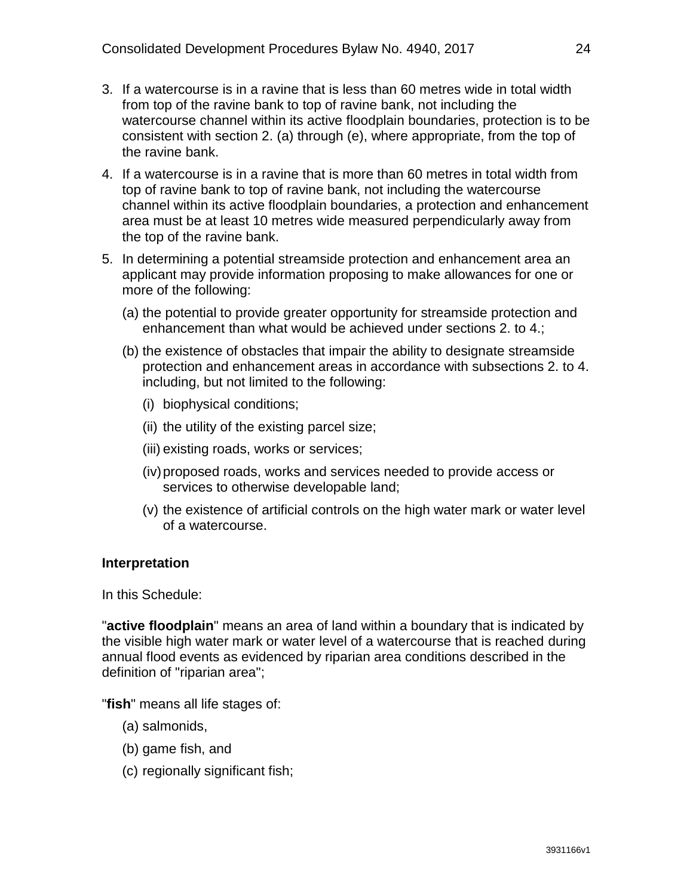- 3. If a watercourse is in a ravine that is less than 60 metres wide in total width from top of the ravine bank to top of ravine bank, not including the watercourse channel within its active floodplain boundaries, protection is to be consistent with section 2. (a) through (e), where appropriate, from the top of the ravine bank.
- 4. If a watercourse is in a ravine that is more than 60 metres in total width from top of ravine bank to top of ravine bank, not including the watercourse channel within its active floodplain boundaries, a protection and enhancement area must be at least 10 metres wide measured perpendicularly away from the top of the ravine bank.
- 5. In determining a potential streamside protection and enhancement area an applicant may provide information proposing to make allowances for one or more of the following:
	- (a) the potential to provide greater opportunity for streamside protection and enhancement than what would be achieved under sections 2. to 4.;
	- (b) the existence of obstacles that impair the ability to designate streamside protection and enhancement areas in accordance with subsections 2. to 4. including, but not limited to the following:
		- (i) biophysical conditions;
		- (ii) the utility of the existing parcel size;
		- (iii) existing roads, works or services;
		- (iv)proposed roads, works and services needed to provide access or services to otherwise developable land;
		- (v) the existence of artificial controls on the high water mark or water level of a watercourse.

#### **Interpretation**

In this Schedule:

"**active floodplain**" means an area of land within a boundary that is indicated by the visible high water mark or water level of a watercourse that is reached during annual flood events as evidenced by riparian area conditions described in the definition of "riparian area";

"**fish**" means all life stages of:

- (a) salmonids,
- (b) game fish, and
- (c) regionally significant fish;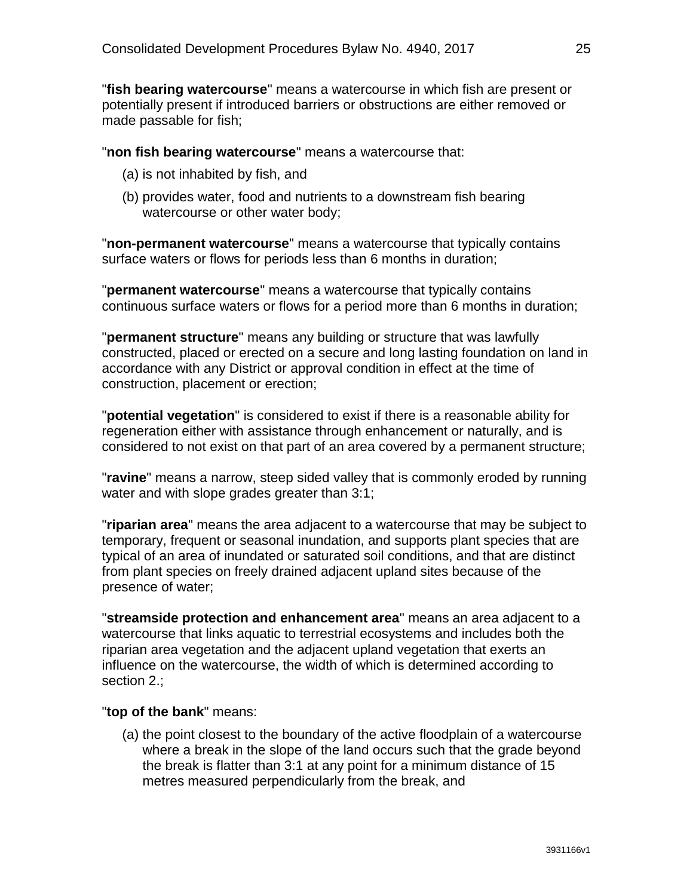"**fish bearing watercourse**" means a watercourse in which fish are present or potentially present if introduced barriers or obstructions are either removed or made passable for fish;

"**non fish bearing watercourse**" means a watercourse that:

- (a) is not inhabited by fish, and
- (b) provides water, food and nutrients to a downstream fish bearing watercourse or other water body;

"**non-permanent watercourse**" means a watercourse that typically contains surface waters or flows for periods less than 6 months in duration;

"**permanent watercourse**" means a watercourse that typically contains continuous surface waters or flows for a period more than 6 months in duration;

"**permanent structure**" means any building or structure that was lawfully constructed, placed or erected on a secure and long lasting foundation on land in accordance with any District or approval condition in effect at the time of construction, placement or erection;

"**potential vegetation**" is considered to exist if there is a reasonable ability for regeneration either with assistance through enhancement or naturally, and is considered to not exist on that part of an area covered by a permanent structure;

"**ravine**" means a narrow, steep sided valley that is commonly eroded by running water and with slope grades greater than 3:1;

"**riparian area**" means the area adjacent to a watercourse that may be subject to temporary, frequent or seasonal inundation, and supports plant species that are typical of an area of inundated or saturated soil conditions, and that are distinct from plant species on freely drained adjacent upland sites because of the presence of water;

"**streamside protection and enhancement area**" means an area adjacent to a watercourse that links aquatic to terrestrial ecosystems and includes both the riparian area vegetation and the adjacent upland vegetation that exerts an influence on the watercourse, the width of which is determined according to section 2.:

#### "**top of the bank**" means:

(a) the point closest to the boundary of the active floodplain of a watercourse where a break in the slope of the land occurs such that the grade beyond the break is flatter than 3:1 at any point for a minimum distance of 15 metres measured perpendicularly from the break, and